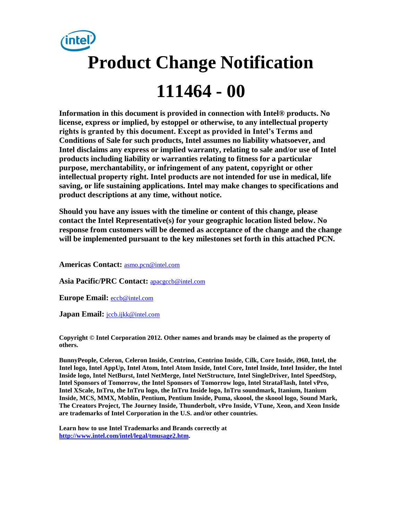

**Information in this document is provided in connection with Intel® products. No license, express or implied, by estoppel or otherwise, to any intellectual property rights is granted by this document. Except as provided in Intel's Terms and Conditions of Sale for such products, Intel assumes no liability whatsoever, and Intel disclaims any express or implied warranty, relating to sale and/or use of Intel products including liability or warranties relating to fitness for a particular purpose, merchantability, or infringement of any patent, copyright or other intellectual property right. Intel products are not intended for use in medical, life saving, or life sustaining applications. Intel may make changes to specifications and product descriptions at any time, without notice.** 

**Should you have any issues with the timeline or content of this change, please contact the Intel Representative(s) for your geographic location listed below. No response from customers will be deemed as acceptance of the change and the change will be implemented pursuant to the key milestones set forth in this attached PCN.** 

**Americas Contact:** [asmo.pcn@intel.com](mailto:asmo.pcn@intel.com) 

Asia Pacific/PRC Contact: **apacgccb@intel.com** 

**Europe Email:** [eccb@intel.com](mailto:eccb@intel.com) 

Japan Email: **jccb.ijkk@intel.com** 

**Copyright © Intel Corporation 2012. Other names and brands may be claimed as the property of others.**

**BunnyPeople, Celeron, Celeron Inside, Centrino, Centrino Inside, Cilk, Core Inside, i960, Intel, the Intel logo, Intel AppUp, Intel Atom, Intel Atom Inside, Intel Core, Intel Inside, Intel Insider, the Intel Inside logo, Intel NetBurst, Intel NetMerge, Intel NetStructure, Intel SingleDriver, Intel SpeedStep, Intel Sponsors of Tomorrow, the Intel Sponsors of Tomorrow logo, Intel StrataFlash, Intel vPro, Intel XScale, InTru, the InTru logo, the InTru Inside logo, InTru soundmark, Itanium, Itanium Inside, MCS, MMX, Moblin, Pentium, Pentium Inside, Puma, skoool, the skoool logo, Sound Mark, The Creators Project, The Journey Inside, Thunderbolt, vPro Inside, VTune, Xeon, and Xeon Inside are trademarks of Intel Corporation in the U.S. and/or other countries.**

**Learn how to use Intel Trademarks and Brands correctly at [http://www.intel.com/intel/legal/tmusage2.htm.](http://www.intel.com/intel/legal/tmusage2.htm)**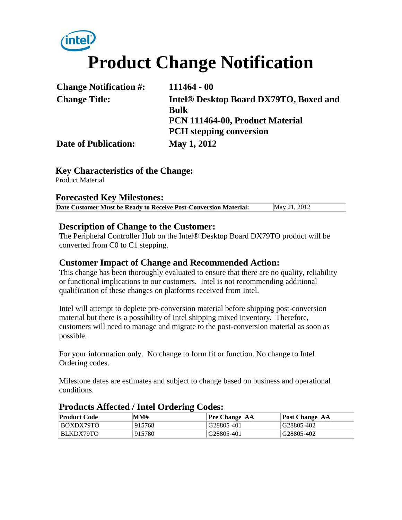# **Product Change Notification**

| <b>Change Notification #:</b> | $111464 - 00$                                      |
|-------------------------------|----------------------------------------------------|
| <b>Change Title:</b>          | Intel <sup>®</sup> Desktop Board DX79TO, Boxed and |
|                               | <b>Bulk</b>                                        |
|                               | PCN 111464-00, Product Material                    |
|                               | <b>PCH</b> stepping conversion                     |
| <b>Date of Publication:</b>   | May 1, 2012                                        |

# **Key Characteristics of the Change:**

Product Material

## **Forecasted Key Milestones:**

| Date Customer Must be Ready to Receive Post-Conversion Material: | May 21, 2012 |  |
|------------------------------------------------------------------|--------------|--|
|------------------------------------------------------------------|--------------|--|

#### **Description of Change to the Customer:**

The Peripheral Controller Hub on the Intel® Desktop Board DX79TO product will be converted from C0 to C1 stepping.

# **Customer Impact of Change and Recommended Action:**

This change has been thoroughly evaluated to ensure that there are no quality, reliability or functional implications to our customers. Intel is not recommending additional qualification of these changes on platforms received from Intel.

Intel will attempt to deplete pre-conversion material before shipping post-conversion material but there is a possibility of Intel shipping mixed inventory. Therefore, customers will need to manage and migrate to the post-conversion material as soon as possible.

For your information only. No change to form fit or function. No change to Intel Ordering codes.

Milestone dates are estimates and subject to change based on business and operational conditions.

| <b>Product Code</b> | MMH    | <b>Pre Change AA</b> | Post Change AA |  |
|---------------------|--------|----------------------|----------------|--|
| BOXDX79TO           | 915768 | G28805-401           | G28805-402     |  |
| BLKDX79TO           | 915780 | G28805-401           | G28805-402     |  |

## **Products Affected / Intel Ordering Codes:**